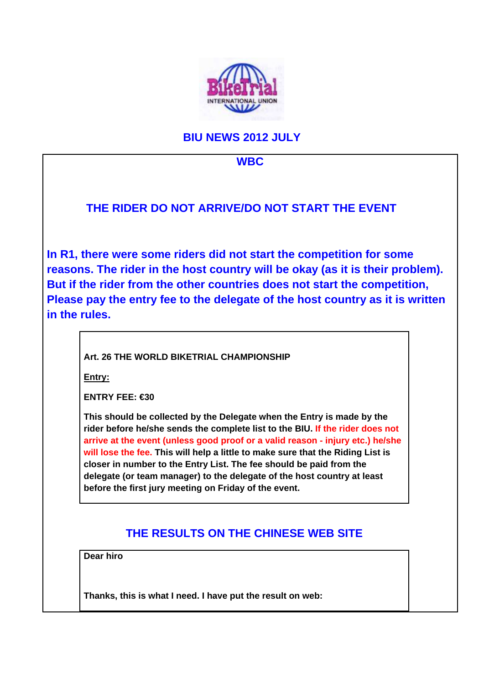

## **BIU NEWS 2012 JULY**



**Dear hiro**

**Thanks, this is what I need. I have put the result on web:**